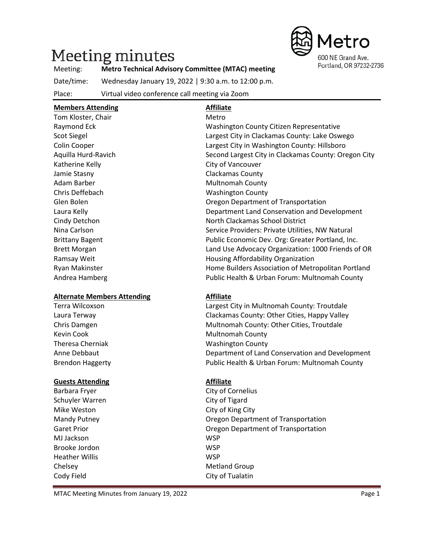# Meeting minutes



#### Meeting: **Metro Technical Advisory Committee (MTAC) meeting**

Date/time: Wednesday January 19, 2022 | 9:30 a.m. to 12:00 p.m.

Place: Virtual video conference call meeting via Zoom

**Members Attending Affiliate**

| iviempers Attending                | Anniace                                              |  |  |
|------------------------------------|------------------------------------------------------|--|--|
| Tom Kloster, Chair                 | Metro                                                |  |  |
| Raymond Eck                        | Washington County Citizen Representative             |  |  |
| <b>Scot Siegel</b>                 | Largest City in Clackamas County: Lake Oswego        |  |  |
| Colin Cooper                       | Largest City in Washington County: Hillsboro         |  |  |
| Aquilla Hurd-Ravich                | Second Largest City in Clackamas County: Oregon City |  |  |
| Katherine Kelly                    | City of Vancouver                                    |  |  |
| Jamie Stasny                       | Clackamas County                                     |  |  |
| Adam Barber                        | <b>Multnomah County</b>                              |  |  |
| Chris Deffebach                    | <b>Washington County</b>                             |  |  |
| Glen Bolen                         | Oregon Department of Transportation                  |  |  |
| Laura Kelly                        | Department Land Conservation and Development         |  |  |
| Cindy Detchon                      | North Clackamas School District                      |  |  |
| Nina Carlson                       | Service Providers: Private Utilities, NW Natural     |  |  |
| <b>Brittany Bagent</b>             | Public Economic Dev. Org: Greater Portland, Inc.     |  |  |
| <b>Brett Morgan</b>                | Land Use Advocacy Organization: 1000 Friends of OR   |  |  |
| Ramsay Weit                        | Housing Affordability Organization                   |  |  |
| Ryan Makinster                     | Home Builders Association of Metropolitan Portland   |  |  |
| Andrea Hamberg                     | Public Health & Urban Forum: Multnomah County        |  |  |
| <b>Alternate Members Attending</b> | <b>Affiliate</b>                                     |  |  |
| <b>Terra Wilcoxson</b>             | Largest City in Multnomah County: Troutdale          |  |  |
| Laura Terway                       | Clackamas County: Other Cities, Happy Valley         |  |  |
| Chris Damgen                       | Multnomah County: Other Cities, Troutdale            |  |  |
| <b>Kevin Cook</b>                  | <b>Multnomah County</b>                              |  |  |
| <b>Theresa Cherniak</b>            | <b>Washington County</b>                             |  |  |
| Anne Debbaut                       | Department of Land Conservation and Development      |  |  |
| <b>Brendon Haggerty</b>            | Public Health & Urban Forum: Multnomah County        |  |  |
| <b>Guests Attending</b>            | <b>Affiliate</b>                                     |  |  |
| Barbara Fryer                      | City of Cornelius                                    |  |  |
| Schuyler Warren                    | City of Tigard                                       |  |  |
| Mike Weston                        | City of King City                                    |  |  |
| Mandy Putney                       | Oregon Department of Transportation                  |  |  |
| <b>Garet Prior</b>                 | Oregon Department of Transportation                  |  |  |
| MJ Jackson                         | <b>WSP</b>                                           |  |  |
|                                    |                                                      |  |  |

Chelsey **Metland Group** Cody Field Cody Field City of Tualatin

MTAC Meeting Minutes from January 19, 2022 Page 1

Brooke Jordon WSP Heather Willis WSP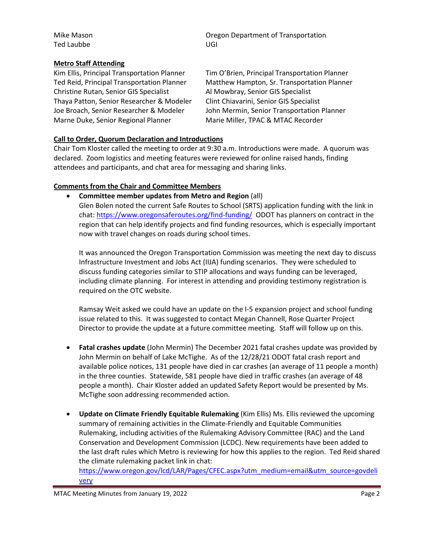Ted Laubbe UGI

Mike Mason **Mike Mason** Oregon Department of Transportation

#### **Metro Staff Attending**

Christine Rutan, Senior GIS Specialist Al Mowbray, Senior GIS Specialist Thaya Patton, Senior Researcher & Modeler Clint Chiavarini, Senior GIS Specialist Marne Duke, Senior Regional Planner Marie Miller, TPAC & MTAC Recorder

Kim Ellis, Principal Transportation Planner Tim O'Brien, Principal Transportation Planner Ted Reid, Principal Transportation Planner Matthew Hampton, Sr. Transportation Planner Joe Broach, Senior Researcher & Modeler John Mermin, Senior Transportation Planner

## **Call to Order, Quorum Declaration and Introductions**

Chair Tom Kloster called the meeting to order at 9:30 a.m. Introductions were made. A quorum was declared. Zoom logistics and meeting features were reviewed for online raised hands, finding attendees and participants, and chat area for messaging and sharing links.

#### **Comments from the Chair and Committee Members**

• **Committee member updates from Metro and Region** (all) Glen Bolen noted the current Safe Routes to School (SRTS) application funding with the link in chat:<https://www.oregonsaferoutes.org/find-funding/>ODOT has planners on contract in the region that can help identify projects and find funding resources, which is especially important now with travel changes on roads during school times.

It was announced the Oregon Transportation Commission was meeting the next day to discuss Infrastructure Investment and Jobs Act (IIJA) funding scenarios. They were scheduled to discuss funding categories similar to STIP allocations and ways funding can be leveraged, including climate planning. For interest in attending and providing testimony registration is required on the OTC website.

Ramsay Weit asked we could have an update on the I-5 expansion project and school funding issue related to this. It was suggested to contact Megan Channell, Rose Quarter Project Director to provide the update at a future committee meeting. Staff will follow up on this.

- **Fatal crashes update** (John Mermin) The December 2021 fatal crashes update was provided by John Mermin on behalf of Lake McTighe. As of the 12/28/21 ODOT fatal crash report and available police notices, 131 people have died in car crashes (an average of 11 people a month) in the three counties. Statewide, 581 people have died in traffic crashes (an average of 48 people a month). Chair Kloster added an updated Safety Report would be presented by Ms. McTighe soon addressing recommended action.
- **Update on Climate Friendly Equitable Rulemaking** (Kim Ellis) Ms. Ellis reviewed the upcoming summary of remaining activities in the Climate-Friendly and Equitable Communities Rulemaking, including activities of the Rulemaking Advisory Committee (RAC) and the Land Conservation and Development Commission (LCDC). New requirements have been added to the last draft rules which Metro is reviewing for how this applies to the region. Ted Reid shared the climate rulemaking packet link in chat:

[https://www.oregon.gov/lcd/LAR/Pages/CFEC.aspx?utm\\_medium=email&utm\\_source=govdeli](https://www.oregon.gov/lcd/LAR/Pages/CFEC.aspx?utm_medium=email&utm_source=govdelivery) [very](https://www.oregon.gov/lcd/LAR/Pages/CFEC.aspx?utm_medium=email&utm_source=govdelivery)

MTAC Meeting Minutes from January 19, 2022 **Page 2** 2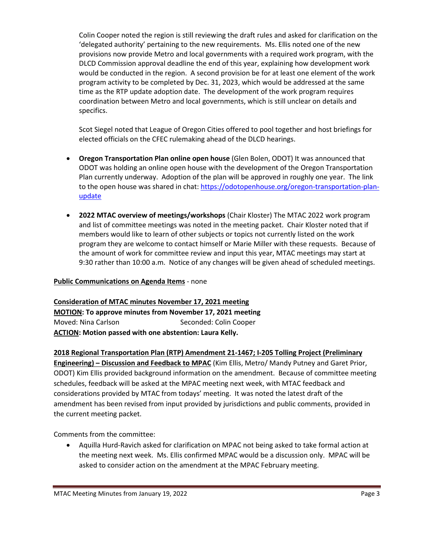Colin Cooper noted the region is still reviewing the draft rules and asked for clarification on the 'delegated authority' pertaining to the new requirements. Ms. Ellis noted one of the new provisions now provide Metro and local governments with a required work program, with the DLCD Commission approval deadline the end of this year, explaining how development work would be conducted in the region. A second provision be for at least one element of the work program activity to be completed by Dec. 31, 2023, which would be addressed at the same time as the RTP update adoption date. The development of the work program requires coordination between Metro and local governments, which is still unclear on details and specifics.

Scot Siegel noted that League of Oregon Cities offered to pool together and host briefings for elected officials on the CFEC rulemaking ahead of the DLCD hearings.

- **Oregon Transportation Plan online open house** (Glen Bolen, ODOT) It was announced that ODOT was holding an online open house with the development of the Oregon Transportation Plan currently underway. Adoption of the plan will be approved in roughly one year. The link to the open house was shared in chat: [https://odotopenhouse.org/oregon-transportation-plan](https://odotopenhouse.org/oregon-transportation-plan-update)[update](https://odotopenhouse.org/oregon-transportation-plan-update)
- **2022 MTAC overview of meetings/workshops** (Chair Kloster) The MTAC 2022 work program and list of committee meetings was noted in the meeting packet. Chair Kloster noted that if members would like to learn of other subjects or topics not currently listed on the work program they are welcome to contact himself or Marie Miller with these requests. Because of the amount of work for committee review and input this year, MTAC meetings may start at 9:30 rather than 10:00 a.m. Notice of any changes will be given ahead of scheduled meetings.

#### **Public Communications on Agenda Items** - none

## **Consideration of MTAC minutes November 17, 2021 meeting**

**MOTION: To approve minutes from November 17, 2021 meeting** Moved: Nina Carlson Seconded: Colin Cooper **ACTION: Motion passed with one abstention: Laura Kelly.**

## **2018 Regional Transportation Plan (RTP) Amendment 21-1467; I-205 Tolling Project (Preliminary**

**Engineering) – Discussion and Feedback to MPAC** (Kim Ellis, Metro/ Mandy Putney and Garet Prior, ODOT) Kim Ellis provided background information on the amendment. Because of committee meeting schedules, feedback will be asked at the MPAC meeting next week, with MTAC feedback and considerations provided by MTAC from todays' meeting. It was noted the latest draft of the amendment has been revised from input provided by jurisdictions and public comments, provided in the current meeting packet.

Comments from the committee:

• Aquilla Hurd-Ravich asked for clarification on MPAC not being asked to take formal action at the meeting next week. Ms. Ellis confirmed MPAC would be a discussion only. MPAC will be asked to consider action on the amendment at the MPAC February meeting.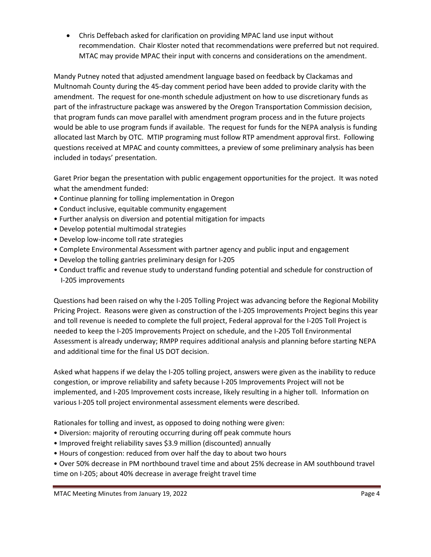• Chris Deffebach asked for clarification on providing MPAC land use input without recommendation. Chair Kloster noted that recommendations were preferred but not required. MTAC may provide MPAC their input with concerns and considerations on the amendment.

Mandy Putney noted that adjusted amendment language based on feedback by Clackamas and Multnomah County during the 45-day comment period have been added to provide clarity with the amendment. The request for one-month schedule adjustment on how to use discretionary funds as part of the infrastructure package was answered by the Oregon Transportation Commission decision, that program funds can move parallel with amendment program process and in the future projects would be able to use program funds if available. The request for funds for the NEPA analysis is funding allocated last March by OTC. MTIP programing must follow RTP amendment approval first. Following questions received at MPAC and county committees, a preview of some preliminary analysis has been included in todays' presentation.

Garet Prior began the presentation with public engagement opportunities for the project. It was noted what the amendment funded:

- Continue planning for tolling implementation in Oregon
- Conduct inclusive, equitable community engagement
- Further analysis on diversion and potential mitigation for impacts
- Develop potential multimodal strategies
- Develop low-income toll rate strategies
- Complete Environmental Assessment with partner agency and public input and engagement
- Develop the tolling gantries preliminary design for I-205
- Conduct traffic and revenue study to understand funding potential and schedule for construction of I-205 improvements

Questions had been raised on why the I-205 Tolling Project was advancing before the Regional Mobility Pricing Project. Reasons were given as construction of the I-205 Improvements Project begins this year and toll revenue is needed to complete the full project, Federal approval for the I-205 Toll Project is needed to keep the I-205 Improvements Project on schedule, and the I-205 Toll Environmental Assessment is already underway; RMPP requires additional analysis and planning before starting NEPA and additional time for the final US DOT decision.

Asked what happens if we delay the I-205 tolling project, answers were given as the inability to reduce congestion, or improve reliability and safety because I-205 Improvements Project will not be implemented, and I-205 Improvement costs increase, likely resulting in a higher toll. Information on various I-205 toll project environmental assessment elements were described.

Rationales for tolling and invest, as opposed to doing nothing were given:

- Diversion: majority of rerouting occurring during off peak commute hours
- Improved freight reliability saves \$3.9 million (discounted) annually
- Hours of congestion: reduced from over half the day to about two hours
- Over 50% decrease in PM northbound travel time and about 25% decrease in AM southbound travel time on I-205; about 40% decrease in average freight travel time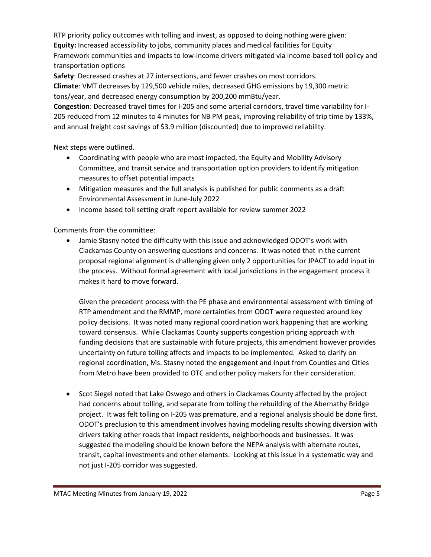RTP priority policy outcomes with tolling and invest, as opposed to doing nothing were given:

**Equity:** Increased accessibility to jobs, community places and medical facilities for Equity

Framework communities and impacts to low-income drivers mitigated via income-based toll policy and transportation options

**Safety**: Decreased crashes at 27 intersections, and fewer crashes on most corridors.

**Climate**: VMT decreases by 129,500 vehicle miles, decreased GHG emissions by 19,300 metric tons/year, and decreased energy consumption by 200,200 mmBtu/year.

**Congestion**: Decreased travel times for I-205 and some arterial corridors, travel time variability for I-205 reduced from 12 minutes to 4 minutes for NB PM peak, improving reliability of trip time by 133%, and annual freight cost savings of \$3.9 million (discounted) due to improved reliability.

Next steps were outlined.

- Coordinating with people who are most impacted, the Equity and Mobility Advisory Committee, and transit service and transportation option providers to identify mitigation measures to offset potential impacts
- Mitigation measures and the full analysis is published for public comments as a draft Environmental Assessment in June-July 2022
- Income based toll setting draft report available for review summer 2022

Comments from the committee:

• Jamie Stasny noted the difficulty with this issue and acknowledged ODOT's work with Clackamas County on answering questions and concerns. It was noted that in the current proposal regional alignment is challenging given only 2 opportunities for JPACT to add input in the process. Without formal agreement with local jurisdictions in the engagement process it makes it hard to move forward.

Given the precedent process with the PE phase and environmental assessment with timing of RTP amendment and the RMMP, more certainties from ODOT were requested around key policy decisions. It was noted many regional coordination work happening that are working toward consensus. While Clackamas County supports congestion pricing approach with funding decisions that are sustainable with future projects, this amendment however provides uncertainty on future tolling affects and impacts to be implemented. Asked to clarify on regional coordination, Ms. Stasny noted the engagement and input from Counties and Cities from Metro have been provided to OTC and other policy makers for their consideration.

• Scot Siegel noted that Lake Oswego and others in Clackamas County affected by the project had concerns about tolling, and separate from tolling the rebuilding of the Abernathy Bridge project. It was felt tolling on I-205 was premature, and a regional analysis should be done first. ODOT's preclusion to this amendment involves having modeling results showing diversion with drivers taking other roads that impact residents, neighborhoods and businesses. It was suggested the modeling should be known before the NEPA analysis with alternate routes, transit, capital investments and other elements. Looking at this issue in a systematic way and not just I-205 corridor was suggested.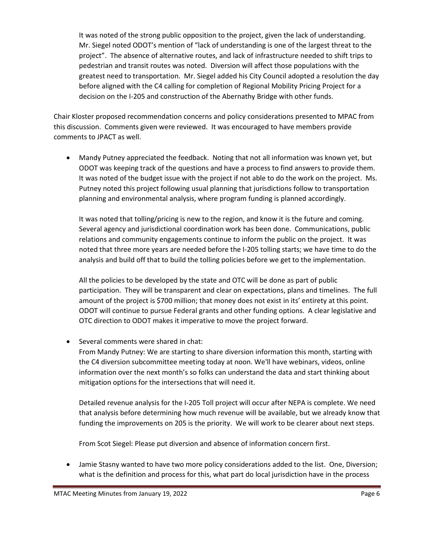It was noted of the strong public opposition to the project, given the lack of understanding. Mr. Siegel noted ODOT's mention of "lack of understanding is one of the largest threat to the project". The absence of alternative routes, and lack of infrastructure needed to shift trips to pedestrian and transit routes was noted. Diversion will affect those populations with the greatest need to transportation. Mr. Siegel added his City Council adopted a resolution the day before aligned with the C4 calling for completion of Regional Mobility Pricing Project for a decision on the I-205 and construction of the Abernathy Bridge with other funds.

Chair Kloster proposed recommendation concerns and policy considerations presented to MPAC from this discussion. Comments given were reviewed. It was encouraged to have members provide comments to JPACT as well.

• Mandy Putney appreciated the feedback. Noting that not all information was known yet, but ODOT was keeping track of the questions and have a process to find answers to provide them. It was noted of the budget issue with the project if not able to do the work on the project. Ms. Putney noted this project following usual planning that jurisdictions follow to transportation planning and environmental analysis, where program funding is planned accordingly.

It was noted that tolling/pricing is new to the region, and know it is the future and coming. Several agency and jurisdictional coordination work has been done. Communications, public relations and community engagements continue to inform the public on the project. It was noted that three more years are needed before the I-205 tolling starts; we have time to do the analysis and build off that to build the tolling policies before we get to the implementation.

All the policies to be developed by the state and OTC will be done as part of public participation. They will be transparent and clear on expectations, plans and timelines. The full amount of the project is \$700 million; that money does not exist in its' entirety at this point. ODOT will continue to pursue Federal grants and other funding options. A clear legislative and OTC direction to ODOT makes it imperative to move the project forward.

• Several comments were shared in chat:

From Mandy Putney: We are starting to share diversion information this month, starting with the C4 diversion subcommittee meeting today at noon. We'll have webinars, videos, online information over the next month's so folks can understand the data and start thinking about mitigation options for the intersections that will need it.

Detailed revenue analysis for the I-205 Toll project will occur after NEPA is complete. We need that analysis before determining how much revenue will be available, but we already know that funding the improvements on 205 is the priority. We will work to be clearer about next steps.

From Scot Siegel: Please put diversion and absence of information concern first.

• Jamie Stasny wanted to have two more policy considerations added to the list. One, Diversion; what is the definition and process for this, what part do local jurisdiction have in the process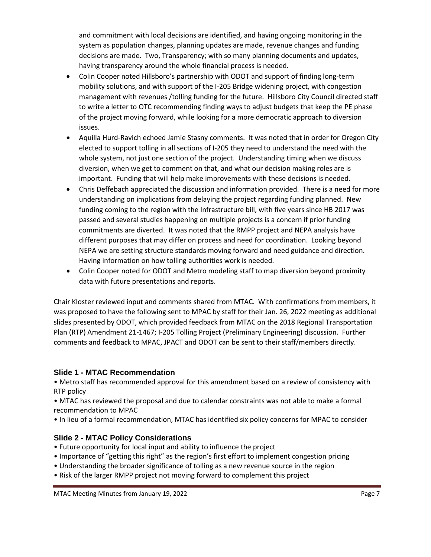and commitment with local decisions are identified, and having ongoing monitoring in the system as population changes, planning updates are made, revenue changes and funding decisions are made. Two, Transparency; with so many planning documents and updates, having transparency around the whole financial process is needed.

- Colin Cooper noted Hillsboro's partnership with ODOT and support of finding long-term mobility solutions, and with support of the I-205 Bridge widening project, with congestion management with revenues /tolling funding for the future. Hillsboro City Council directed staff to write a letter to OTC recommending finding ways to adjust budgets that keep the PE phase of the project moving forward, while looking for a more democratic approach to diversion issues.
- Aquilla Hurd-Ravich echoed Jamie Stasny comments. It was noted that in order for Oregon City elected to support tolling in all sections of I-205 they need to understand the need with the whole system, not just one section of the project. Understanding timing when we discuss diversion, when we get to comment on that, and what our decision making roles are is important. Funding that will help make improvements with these decisions is needed.
- Chris Deffebach appreciated the discussion and information provided. There is a need for more understanding on implications from delaying the project regarding funding planned. New funding coming to the region with the Infrastructure bill, with five years since HB 2017 was passed and several studies happening on multiple projects is a concern if prior funding commitments are diverted. It was noted that the RMPP project and NEPA analysis have different purposes that may differ on process and need for coordination. Looking beyond NEPA we are setting structure standards moving forward and need guidance and direction. Having information on how tolling authorities work is needed.
- Colin Cooper noted for ODOT and Metro modeling staff to map diversion beyond proximity data with future presentations and reports.

Chair Kloster reviewed input and comments shared from MTAC. With confirmations from members, it was proposed to have the following sent to MPAC by staff for their Jan. 26, 2022 meeting as additional slides presented by ODOT, which provided feedback from MTAC on the 2018 Regional Transportation Plan (RTP) Amendment 21-1467; I-205 Tolling Project (Preliminary Engineering) discussion. Further comments and feedback to MPAC, JPACT and ODOT can be sent to their staff/members directly.

## **Slide 1 - MTAC Recommendation**

• Metro staff has recommended approval for this amendment based on a review of consistency with RTP policy

• MTAC has reviewed the proposal and due to calendar constraints was not able to make a formal recommendation to MPAC

• In lieu of a formal recommendation, MTAC has identified six policy concerns for MPAC to consider

## **Slide 2 - MTAC Policy Considerations**

- Future opportunity for local input and ability to influence the project
- Importance of "getting this right" as the region's first effort to implement congestion pricing
- Understanding the broader significance of tolling as a new revenue source in the region
- Risk of the larger RMPP project not moving forward to complement this project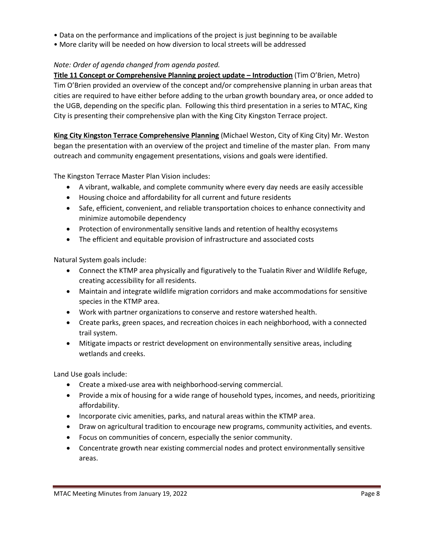- Data on the performance and implications of the project is just beginning to be available
- More clarity will be needed on how diversion to local streets will be addressed

## *Note: Order of agenda changed from agenda posted.*

**Title 11 Concept or Comprehensive Planning project update – Introduction** (Tim O'Brien, Metro) Tim O'Brien provided an overview of the concept and/or comprehensive planning in urban areas that cities are required to have either before adding to the urban growth boundary area, or once added to the UGB, depending on the specific plan. Following this third presentation in a series to MTAC, King City is presenting their comprehensive plan with the King City Kingston Terrace project.

**King City Kingston Terrace Comprehensive Planning** (Michael Weston, City of King City) Mr. Weston began the presentation with an overview of the project and timeline of the master plan. From many outreach and community engagement presentations, visions and goals were identified.

The Kingston Terrace Master Plan Vision includes:

- A vibrant, walkable, and complete community where every day needs are easily accessible
- Housing choice and affordability for all current and future residents
- Safe, efficient, convenient, and reliable transportation choices to enhance connectivity and minimize automobile dependency
- Protection of environmentally sensitive lands and retention of healthy ecosystems
- The efficient and equitable provision of infrastructure and associated costs

Natural System goals include:

- Connect the KTMP area physically and figuratively to the Tualatin River and Wildlife Refuge, creating accessibility for all residents.
- Maintain and integrate wildlife migration corridors and make accommodations for sensitive species in the KTMP area.
- Work with partner organizations to conserve and restore watershed health.
- Create parks, green spaces, and recreation choices in each neighborhood, with a connected trail system.
- Mitigate impacts or restrict development on environmentally sensitive areas, including wetlands and creeks.

Land Use goals include:

- Create a mixed-use area with neighborhood-serving commercial.
- Provide a mix of housing for a wide range of household types, incomes, and needs, prioritizing affordability.
- Incorporate civic amenities, parks, and natural areas within the KTMP area.
- Draw on agricultural tradition to encourage new programs, community activities, and events.
- Focus on communities of concern, especially the senior community.
- Concentrate growth near existing commercial nodes and protect environmentally sensitive areas.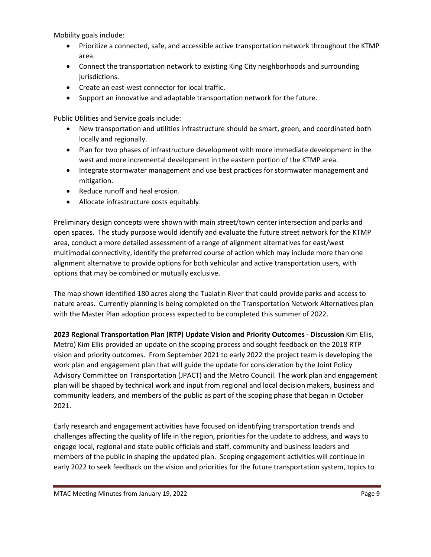Mobility goals include:

- Prioritize a connected, safe, and accessible active transportation network throughout the KTMP area.
- Connect the transportation network to existing King City neighborhoods and surrounding jurisdictions.
- Create an east-west connector for local traffic.
- Support an innovative and adaptable transportation network for the future.

Public Utilities and Service goals include:

- New transportation and utilities infrastructure should be smart, green, and coordinated both locally and regionally.
- Plan for two phases of infrastructure development with more immediate development in the west and more incremental development in the eastern portion of the KTMP area.
- Integrate stormwater management and use best practices for stormwater management and mitigation.
- Reduce runoff and heal erosion.
- Allocate infrastructure costs equitably.

Preliminary design concepts were shown with main street/town center intersection and parks and open spaces. The study purpose would identify and evaluate the future street network for the KTMP area, conduct a more detailed assessment of a range of alignment alternatives for east/west multimodal connectivity, identify the preferred course of action which may include more than one alignment alternative to provide options for both vehicular and active transportation users, with options that may be combined or mutually exclusive.

The map shown identified 180 acres along the Tualatin River that could provide parks and access to nature areas. Currently planning is being completed on the Transportation Network Alternatives plan with the Master Plan adoption process expected to be completed this summer of 2022.

**2023 Regional Transportation Plan (RTP) Update Vision and Priority Outcomes - Discussion** Kim Ellis, Metro) Kim Ellis provided an update on the scoping process and sought feedback on the 2018 RTP vision and priority outcomes. From September 2021 to early 2022 the project team is developing the work plan and engagement plan that will guide the update for consideration by the Joint Policy Advisory Committee on Transportation (JPACT) and the Metro Council. The work plan and engagement plan will be shaped by technical work and input from regional and local decision makers, business and community leaders, and members of the public as part of the scoping phase that began in October 2021.

Early research and engagement activities have focused on identifying transportation trends and challenges affecting the quality of life in the region, priorities for the update to address, and ways to engage local, regional and state public officials and staff, community and business leaders and members of the public in shaping the updated plan. Scoping engagement activities will continue in early 2022 to seek feedback on the vision and priorities for the future transportation system, topics to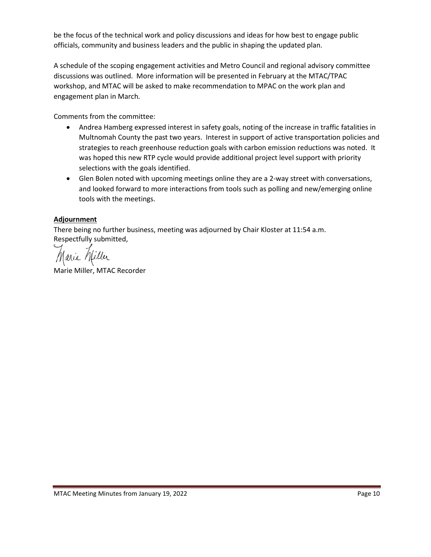be the focus of the technical work and policy discussions and ideas for how best to engage public officials, community and business leaders and the public in shaping the updated plan.

A schedule of the scoping engagement activities and Metro Council and regional advisory committee discussions was outlined. More information will be presented in February at the MTAC/TPAC workshop, and MTAC will be asked to make recommendation to MPAC on the work plan and engagement plan in March.

Comments from the committee:

- Andrea Hamberg expressed interest in safety goals, noting of the increase in traffic fatalities in Multnomah County the past two years. Interest in support of active transportation policies and strategies to reach greenhouse reduction goals with carbon emission reductions was noted. It was hoped this new RTP cycle would provide additional project level support with priority selections with the goals identified.
- Glen Bolen noted with upcoming meetings online they are a 2-way street with conversations, and looked forward to more interactions from tools such as polling and new/emerging online tools with the meetings.

## **Adjournment**

There being no further business, meeting was adjourned by Chair Kloster at 11:54 a.m. Respectfully submitted,

filler

Marie Miller, MTAC Recorder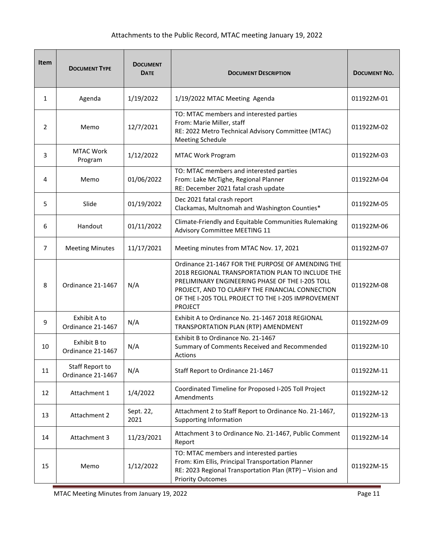# Attachments to the Public Record, MTAC meeting January 19, 2022

| Item           | <b>DOCUMENT TYPE</b>                 | <b>DOCUMENT</b><br><b>DATE</b> | <b>DOCUMENT DESCRIPTION</b>                                                                                                                                                                                                                                                          | <b>DOCUMENT NO.</b> |
|----------------|--------------------------------------|--------------------------------|--------------------------------------------------------------------------------------------------------------------------------------------------------------------------------------------------------------------------------------------------------------------------------------|---------------------|
| 1              | Agenda                               | 1/19/2022                      | 1/19/2022 MTAC Meeting Agenda                                                                                                                                                                                                                                                        | 011922M-01          |
| 2              | Memo                                 | 12/7/2021                      | TO: MTAC members and interested parties<br>From: Marie Miller, staff<br>RE: 2022 Metro Technical Advisory Committee (MTAC)<br><b>Meeting Schedule</b>                                                                                                                                | 011922M-02          |
| 3              | <b>MTAC Work</b><br>Program          | 1/12/2022                      | MTAC Work Program                                                                                                                                                                                                                                                                    | 011922M-03          |
| 4              | Memo                                 | 01/06/2022                     | TO: MTAC members and interested parties<br>From: Lake McTighe, Regional Planner<br>RE: December 2021 fatal crash update                                                                                                                                                              | 011922M-04          |
| 5              | Slide                                | 01/19/2022                     | Dec 2021 fatal crash report<br>Clackamas, Multnomah and Washington Counties*                                                                                                                                                                                                         | 011922M-05          |
| 6              | Handout                              | 01/11/2022                     | Climate-Friendly and Equitable Communities Rulemaking<br>Advisory Committee MEETING 11                                                                                                                                                                                               | 011922M-06          |
| $\overline{7}$ | <b>Meeting Minutes</b>               | 11/17/2021                     | Meeting minutes from MTAC Nov. 17, 2021                                                                                                                                                                                                                                              | 011922M-07          |
| 8              | Ordinance 21-1467                    | N/A                            | Ordinance 21-1467 FOR THE PURPOSE OF AMENDING THE<br>2018 REGIONAL TRANSPORTATION PLAN TO INCLUDE THE<br>PRELIMINARY ENGINEERING PHASE OF THE I-205 TOLL<br>PROJECT, AND TO CLARIFY THE FINANCIAL CONNECTION<br>OF THE I-205 TOLL PROJECT TO THE I-205 IMPROVEMENT<br><b>PROJECT</b> | 011922M-08          |
| 9              | Exhibit A to<br>Ordinance 21-1467    | N/A                            | Exhibit A to Ordinance No. 21-1467 2018 REGIONAL<br>TRANSPORTATION PLAN (RTP) AMENDMENT                                                                                                                                                                                              | 011922M-09          |
| 10             | Exhibit B to<br>Ordinance 21-1467    | N/A                            | Exhibit B to Ordinance No. 21-1467<br>Summary of Comments Received and Recommended<br>Actions                                                                                                                                                                                        | 011922M-10          |
| 11             | Staff Report to<br>Ordinance 21-1467 | N/A                            | Staff Report to Ordinance 21-1467                                                                                                                                                                                                                                                    | 011922M-11          |
| 12             | Attachment 1                         | 1/4/2022                       | Coordinated Timeline for Proposed I-205 Toll Project<br>Amendments                                                                                                                                                                                                                   | 011922M-12          |
| 13             | Attachment 2                         | Sept. 22,<br>2021              | Attachment 2 to Staff Report to Ordinance No. 21-1467,<br><b>Supporting Information</b>                                                                                                                                                                                              | 011922M-13          |
| 14             | Attachment 3                         | 11/23/2021                     | Attachment 3 to Ordinance No. 21-1467, Public Comment<br>Report                                                                                                                                                                                                                      | 011922M-14          |
| 15             | Memo                                 | 1/12/2022                      | TO: MTAC members and interested parties<br>From: Kim Ellis, Principal Transportation Planner<br>RE: 2023 Regional Transportation Plan (RTP) - Vision and<br><b>Priority Outcomes</b>                                                                                                 | 011922M-15          |

MTAC Meeting Minutes from January 19, 2022 **Page 11** Page 11